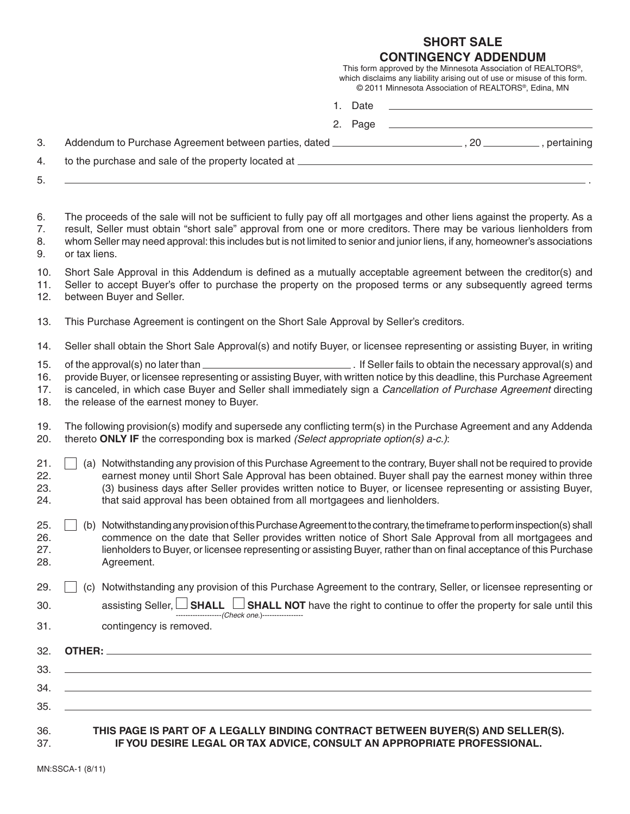## **SHORT SALE**

|                                                                                                                                                                                                                                                                                                                                                                                                                                 |         | <b>CONTINGENCY ADDENDUM</b><br>This form approved by the Minnesota Association of REALTORS®,<br>which disclaims any liability arising out of use or misuse of this form.<br>© 2011 Minnesota Association of REALTORS®, Edina, MN |  |
|---------------------------------------------------------------------------------------------------------------------------------------------------------------------------------------------------------------------------------------------------------------------------------------------------------------------------------------------------------------------------------------------------------------------------------|---------|----------------------------------------------------------------------------------------------------------------------------------------------------------------------------------------------------------------------------------|--|
|                                                                                                                                                                                                                                                                                                                                                                                                                                 | 1. Date |                                                                                                                                                                                                                                  |  |
|                                                                                                                                                                                                                                                                                                                                                                                                                                 |         |                                                                                                                                                                                                                                  |  |
|                                                                                                                                                                                                                                                                                                                                                                                                                                 |         |                                                                                                                                                                                                                                  |  |
|                                                                                                                                                                                                                                                                                                                                                                                                                                 |         |                                                                                                                                                                                                                                  |  |
| The proceeds of the sale will not be sufficient to fully pay off all mortgages and other liens against the property. As a<br>result, Seller must obtain "short sale" approval from one or more creditors. There may be various lienholders from<br>whom Seller may need approval: this includes but is not limited to senior and junior liens, if any, homeowner's associations<br>or tax liens.                                |         |                                                                                                                                                                                                                                  |  |
| Short Sale Approval in this Addendum is defined as a mutually acceptable agreement between the creditor(s) and<br>Seller to accept Buyer's offer to purchase the property on the proposed terms or any subsequently agreed terms<br>between Buyer and Seller.                                                                                                                                                                   |         |                                                                                                                                                                                                                                  |  |
| This Purchase Agreement is contingent on the Short Sale Approval by Seller's creditors.                                                                                                                                                                                                                                                                                                                                         |         |                                                                                                                                                                                                                                  |  |
| Seller shall obtain the Short Sale Approval(s) and notify Buyer, or licensee representing or assisting Buyer, in writing                                                                                                                                                                                                                                                                                                        |         |                                                                                                                                                                                                                                  |  |
| provide Buyer, or licensee representing or assisting Buyer, with written notice by this deadline, this Purchase Agreement<br>is canceled, in which case Buyer and Seller shall immediately sign a Cancellation of Purchase Agreement directing<br>the release of the earnest money to Buyer.                                                                                                                                    |         |                                                                                                                                                                                                                                  |  |
| The following provision(s) modify and supersede any conflicting term(s) in the Purchase Agreement and any Addenda<br>thereto ONLY IF the corresponding box is marked (Select appropriate option(s) $a-c$ .):                                                                                                                                                                                                                    |         |                                                                                                                                                                                                                                  |  |
| (a) Notwithstanding any provision of this Purchase Agreement to the contrary, Buyer shall not be required to provide<br>earnest money until Short Sale Approval has been obtained. Buyer shall pay the earnest money within three<br>(3) business days after Seller provides written notice to Buyer, or licensee representing or assisting Buyer,<br>that said approval has been obtained from all mortgagees and lienholders. |         |                                                                                                                                                                                                                                  |  |
| Notwithstanding any provision of this Purchase Agreement to the contrary, the timeframe to perform inspection(s) shall<br>(b)<br>commence on the date that Seller provides written notice of Short Sale Approval from all mortgagees and<br>lienholders to Buyer, or licensee representing or assisting Buyer, rather than on final acceptance of this Purchase<br>Agreement.                                                   |         |                                                                                                                                                                                                                                  |  |
| Notwithstanding any provision of this Purchase Agreement to the contrary, Seller, or licensee representing or<br>(C)                                                                                                                                                                                                                                                                                                            |         |                                                                                                                                                                                                                                  |  |
| assisting Seller, <b>SHALL</b><br><b>HALL</b> SHALL NOT have the right to continue to offer the property for sale until this $\frac{1}{\text{time}}$                                                                                                                                                                                                                                                                            |         |                                                                                                                                                                                                                                  |  |
| contingency is removed.                                                                                                                                                                                                                                                                                                                                                                                                         |         |                                                                                                                                                                                                                                  |  |
|                                                                                                                                                                                                                                                                                                                                                                                                                                 |         |                                                                                                                                                                                                                                  |  |
|                                                                                                                                                                                                                                                                                                                                                                                                                                 |         |                                                                                                                                                                                                                                  |  |
|                                                                                                                                                                                                                                                                                                                                                                                                                                 |         |                                                                                                                                                                                                                                  |  |
| the control of the control of the control of the control of the control of the control of the control of the control of the control of the control of the control of the control of the control of the control of the control<br>,我们也不会有什么。""我们的人,我们也不会有什么?""我们的人,我们也不会有什么?""我们的人,我们也不会有什么?""我们的人,我们也不会有什么?""我们的人                                                                                                               |         |                                                                                                                                                                                                                                  |  |

## 36. **THIS PAGE IS PART OF A LEGALLY BINDING CONTRACT BETWEEN BUYER(S) AND SELLER(S).** 37. **IF YOU DESIRE LEGAL OR TAX ADVICE, CONSULT AN APPROPRIATE PROFESSIONAL.**